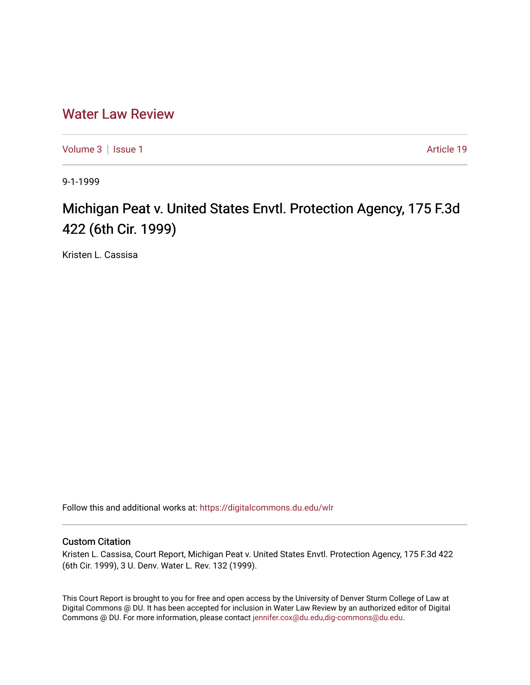# [Water Law Review](https://digitalcommons.du.edu/wlr)

[Volume 3](https://digitalcommons.du.edu/wlr/vol3) | [Issue 1](https://digitalcommons.du.edu/wlr/vol3/iss1) Article 19

9-1-1999

# Michigan Peat v. United States Envtl. Protection Agency, 175 F.3d 422 (6th Cir. 1999)

Kristen L. Cassisa

Follow this and additional works at: [https://digitalcommons.du.edu/wlr](https://digitalcommons.du.edu/wlr?utm_source=digitalcommons.du.edu%2Fwlr%2Fvol3%2Fiss1%2F19&utm_medium=PDF&utm_campaign=PDFCoverPages) 

## Custom Citation

Kristen L. Cassisa, Court Report, Michigan Peat v. United States Envtl. Protection Agency, 175 F.3d 422 (6th Cir. 1999), 3 U. Denv. Water L. Rev. 132 (1999).

This Court Report is brought to you for free and open access by the University of Denver Sturm College of Law at Digital Commons @ DU. It has been accepted for inclusion in Water Law Review by an authorized editor of Digital Commons @ DU. For more information, please contact [jennifer.cox@du.edu,dig-commons@du.edu.](mailto:jennifer.cox@du.edu,dig-commons@du.edu)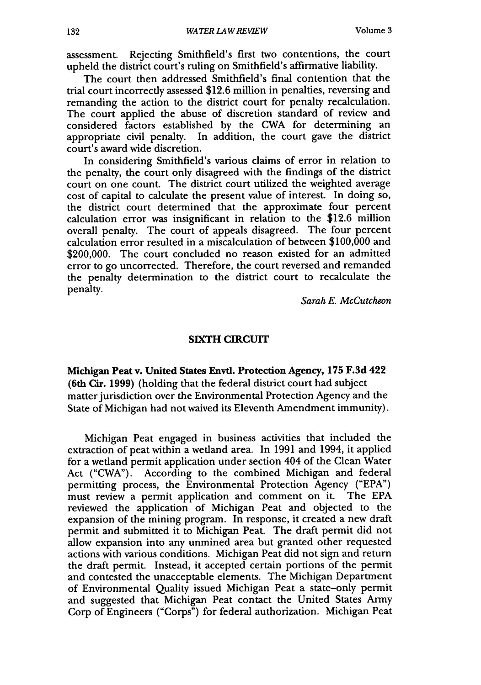assessment. Rejecting Smithfield's first two contentions, the court upheld the district court's ruling on Smithfield's affirmative liability.

The court then addressed Smithfield's final contention that the trial court incorrectly assessed \$12.6 million in penalties, reversing and remanding the action to the district court for penalty recalculation. The court applied the abuse of discretion standard of review and considered factors established by the CWA for determining an appropriate civil penalty. In addition, the court gave the district court's award wide discretion.

In considering Smithfield's various claims of error in relation to the penalty, the court only disagreed with the findings of the district court on one count. The district court utilized the weighted average cost of capital to calculate the present value of interest. In doing so, the district court determined that the approximate four percent calculation error was insignificant in relation to the \$12.6 million overall penalty. The court of appeals disagreed. The four percent calculation error resulted in a miscalculation of between \$100,000 and \$200,000. The court concluded no reason existed for an admitted error to go uncorrected. Therefore, the court reversed and remanded the penalty determination to the district court to recalculate the penalty.

*Sarah E. McCutcheon*

### **SIXTH** CIRCUIT

Michigan Peat v. United States Envtl. Protection Agency, **175 F.3d** 422 (6th Cir. **1999)** (holding that the federal district court had subject matter jurisdiction over the Environmental Protection Agency and the State of Michigan had not waived its Eleventh Amendment immunity).

Michigan Peat engaged in business activities that included the extraction of peat within a wetland area. In 1991 and 1994, it applied for a wetland permit application under section 404 of the Clean Water Act ("CWA"). According to the combined Michigan and federal permitting process, the Environmental Protection Agency ("EPA") must review a permit application and comment on it. The EPA reviewed the application of Michigan Peat and objected to the expansion of the mining program. In response, it created a new draft permit and submitted it to Michigan Peat. The draft permit did not allow expansion into any unmined area but granted other requested actions with various conditions. Michigan Peat did not sign and return the draft permit. Instead, it accepted certain portions of the permit and contested the unacceptable elements. The Michigan Department of Environmental Quality issued Michigan Peat a state-only permit and suggested that Michigan Peat contact the United States Army Corp of Engineers ("Corps") for federal authorization. Michigan Peat